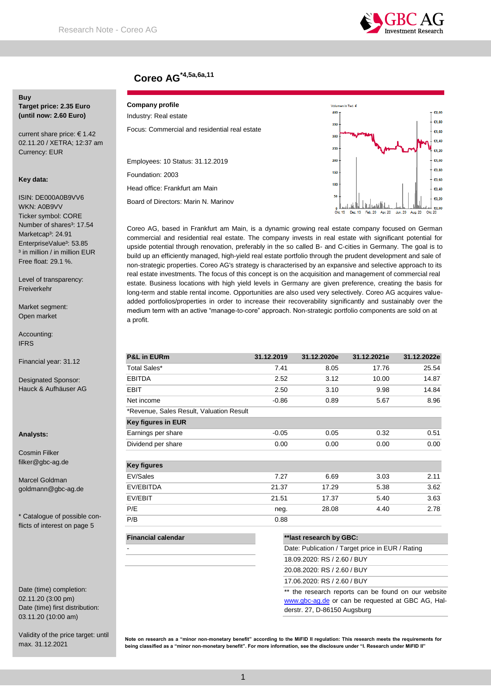

# **Coreo AG\*4,5a,6a,11**

# **Buy**

**Target price: 2.35 Euro (until now: 2.60 Euro)**

current share price: € 1.42 02.11.20 / XETRA; 12:37 am Currency: EUR

## **Key data:**

ISIN: DE000A0B9VV6 WKN: A0B9VV Ticker symbol: CORE Number of shares<sup>3</sup>: 17.54 Marketcap<sup>3</sup>: 24.91 EnterpriseValue<sup>3</sup>: 53.85 <sup>3</sup> in million / in million EUR Free float: 29.1 %.

Level of transparency: Freiverkehr

Market segment: Open market

Accounting: IFRS

Financial year: 31.12

Designated Sponsor: Hauck & Aufhäuser AG

**Analysts:**

Cosmin Filker filker@gbc-ag.de

Marcel Goldman goldmann@gbc-ag.de

\* Catalogue of possible conflicts of interest on page 5

Date (time) completion: 02.11.20 (3:00 pm) Date (time) first distribution: 03.11.20 (10:00 am)

Validity of the price target: until max. 31.12.2021

## **Company profile**

Industry: Real estate Focus: Commercial and residential real estate

Employees: 10 Status: 31.12.2019 Foundation: 2003

Head office: Frankfurt am Main Board of Directors: Marin N. Marinov



Coreo AG, based in Frankfurt am Main, is a dynamic growing real estate company focused on German commercial and residential real estate. The company invests in real estate with significant potential for upside potential through renovation, preferably in the so called B- and C-cities in Germany. The goal is to build up an efficiently managed, high-yield real estate portfolio through the prudent development and sale of non-strategic properties. Coreo AG's strategy is characterised by an expansive and selective approach to its real estate investments. The focus of this concept is on the acquisition and management of commercial real estate. Business locations with high yield levels in Germany are given preference, creating the basis for long-term and stable rental income. Opportunities are also used very selectively. Coreo AG acquires valueadded portfolios/properties in order to increase their recoverability significantly and sustainably over the medium term with an active "manage-to-core" approach. Non-strategic portfolio components are sold on at a profit.

| <b>P&amp;L in EURm</b>                   | 31.12.2019 | 31.12.2020e                                                                     | 31.12.2021e | 31.12.2022e |  |
|------------------------------------------|------------|---------------------------------------------------------------------------------|-------------|-------------|--|
| Total Sales*                             | 7.41       | 8.05                                                                            | 17.76       | 25.54       |  |
| <b>EBITDA</b>                            | 2.52       | 3.12                                                                            | 10.00       | 14.87       |  |
| <b>EBIT</b>                              | 2.50       | 3.10                                                                            | 9.98        | 14.84       |  |
| Net income                               | $-0.86$    | 0.89                                                                            | 5.67        | 8.96        |  |
| *Revenue, Sales Result, Valuation Result |            |                                                                                 |             |             |  |
| <b>Key figures in EUR</b>                |            |                                                                                 |             |             |  |
| Earnings per share                       | $-0.05$    | 0.05                                                                            | 0.32        | 0.51        |  |
| Dividend per share                       | 0.00       | 0.00                                                                            | 0.00        | 0.00        |  |
|                                          |            |                                                                                 |             |             |  |
| <b>Key figures</b>                       |            |                                                                                 |             |             |  |
| EV/Sales                                 | 7.27       | 6.69                                                                            | 3.03        | 2.11        |  |
| EV/EBITDA                                | 21.37      | 17.29                                                                           | 5.38        | 3.62        |  |
| EV/EBIT                                  | 21.51      | 17.37                                                                           | 5.40        | 3.63        |  |
| P/E                                      | neg.       | 28.08                                                                           | 4.40        | 2.78        |  |
| P/B                                      | 0.88       |                                                                                 |             |             |  |
| <b>Financial calendar</b>                |            | **last research by GBC:                                                         |             |             |  |
|                                          |            | Date: Publication / Target price in EUR / Rating<br>18.09.2020: RS / 2.60 / BUY |             |             |  |
|                                          |            |                                                                                 |             |             |  |

20.08.2020: RS / 2.60 / BUY

17.06.2020: RS / 2.60 / BUY

\*\* the research reports can be found on our website [www.gbc-ag.de](http://www.gbc-ag.de/) or can be requested at GBC AG, Halderstr. 27, D-86150 Augsburg

**Note on research as a "minor non-monetary benefit" according to the MiFID II regulation: This research meets the requirements for being classified as a "minor non-monetary benefit". For more information, see the disclosure under "I. Research under MiFID II"**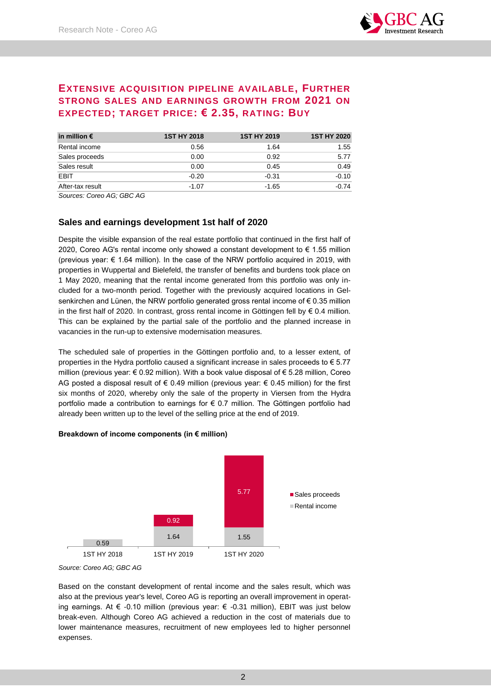# **EXTENSIVE ACQUISITION PIPELINE AVAILABLE, FURTHER STRONG SALES AND EARNINGS GROWTH FROM 2021 ON EXPECTED; TARGET PRICE: € 2.35, RATING: BUY**

| in million $\epsilon$ | <b>1ST HY 2018</b> | <b>1ST HY 2019</b> | <b>1ST HY 2020</b> |
|-----------------------|--------------------|--------------------|--------------------|
| Rental income         | 0.56               | 1.64               | 1.55               |
| Sales proceeds        | 0.00               | 0.92               | 5.77               |
| Sales result          | 0.00               | 0.45               | 0.49               |
| EBIT                  | $-0.20$            | $-0.31$            | $-0.10$            |
| After-tax result      | $-1.07$            | $-1.65$            | $-0.74$            |

*Sources: Coreo AG; GBC AG*

## **Sales and earnings development 1st half of 2020**

Despite the visible expansion of the real estate portfolio that continued in the first half of 2020, Coreo AG's rental income only showed a constant development to € 1.55 million (previous year: € 1.64 million). In the case of the NRW portfolio acquired in 2019, with properties in Wuppertal and Bielefeld, the transfer of benefits and burdens took place on 1 May 2020, meaning that the rental income generated from this portfolio was only included for a two-month period. Together with the previously acquired locations in Gelsenkirchen and Lünen, the NRW portfolio generated gross rental income of €0.35 million in the first half of 2020. In contrast, gross rental income in Göttingen fell by € 0.4 million. This can be explained by the partial sale of the portfolio and the planned increase in vacancies in the run-up to extensive modernisation measures.

The scheduled sale of properties in the Göttingen portfolio and, to a lesser extent, of properties in the Hydra portfolio caused a significant increase in sales proceeds to € 5.77 million (previous year:  $\epsilon$  0.92 million). With a book value disposal of  $\epsilon$  5.28 million, Coreo AG posted a disposal result of  $\epsilon$  0.49 million (previous year:  $\epsilon$  0.45 million) for the first six months of 2020, whereby only the sale of the property in Viersen from the Hydra portfolio made a contribution to earnings for € 0.7 million. The Göttingen portfolio had already been written up to the level of the selling price at the end of 2019.

## **Breakdown of income components (in € million)**



*Source: Coreo AG; GBC AG*

Based on the constant development of rental income and the sales result, which was also at the previous year's level, Coreo AG is reporting an overall improvement in operating earnings. At  $\epsilon$  -0.10 million (previous year:  $\epsilon$  -0.31 million), EBIT was just below break-even. Although Coreo AG achieved a reduction in the cost of materials due to lower maintenance measures, recruitment of new employees led to higher personnel expenses.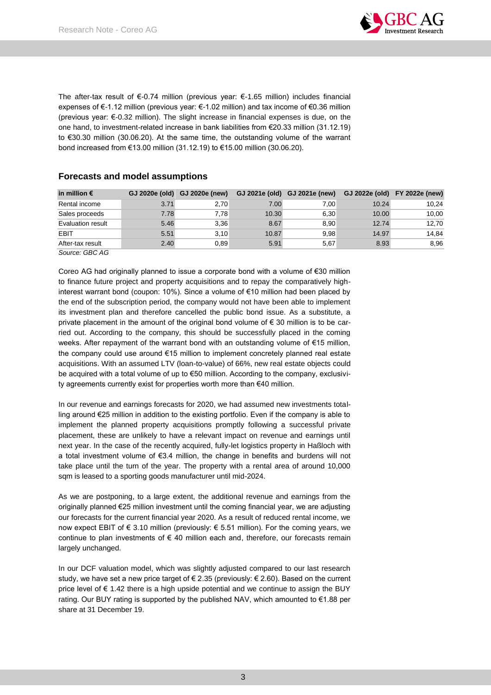

The after-tax result of  $\epsilon$ -0.74 million (previous year:  $\epsilon$ -1.65 million) includes financial expenses of €-1.12 million (previous year: €-1.02 million) and tax income of €0.36 million (previous year: €-0.32 million). The slight increase in financial expenses is due, on the one hand, to investment-related increase in bank liabilities from €20.33 million (31.12.19) to €30.30 million (30.06.20). At the same time, the outstanding volume of the warrant bond increased from €13.00 million (31.12.19) to €15.00 million (30.06.20).

| in million $\bm{\epsilon}$ |      | GJ 2020e (old) GJ 2020e (new) |       | GJ 2021e (old) GJ 2021e (new) | GJ 2022e (old) FY 2022e (new) |       |
|----------------------------|------|-------------------------------|-------|-------------------------------|-------------------------------|-------|
| Rental income              | 3.71 | 2,70                          | 7.00  | 7.00                          | 10.24                         | 10.24 |
| Sales proceeds             | 7.78 | 7.78                          | 10.30 | 6.30                          | 10.00                         | 10,00 |
| <b>Evaluation result</b>   | 5.46 | 3.36                          | 8.67  | 8.90                          | 12.74                         | 12,70 |
| EBIT                       | 5.51 | 3.10                          | 10.87 | 9.98                          | 14.97                         | 14.84 |
| After-tax result           | 2.40 | 0,89                          | 5.91  | 5,67                          | 8.93                          | 8,96  |

## **Forecasts and model assumptions**

*Source: GBC AG*

Coreo AG had originally planned to issue a corporate bond with a volume of €30 million to finance future project and property acquisitions and to repay the comparatively highinterest warrant bond (coupon: 10%). Since a volume of €10 million had been placed by the end of the subscription period, the company would not have been able to implement its investment plan and therefore cancelled the public bond issue. As a substitute, a private placement in the amount of the original bond volume of  $\epsilon$  30 million is to be carried out. According to the company, this should be successfully placed in the coming weeks. After repayment of the warrant bond with an outstanding volume of €15 million, the company could use around €15 million to implement concretely planned real estate acquisitions. With an assumed LTV (loan-to-value) of 66%, new real estate objects could be acquired with a total volume of up to €50 million. According to the company, exclusivity agreements currently exist for properties worth more than €40 million.

In our revenue and earnings forecasts for 2020, we had assumed new investments totalling around €25 million in addition to the existing portfolio. Even if the company is able to implement the planned property acquisitions promptly following a successful private placement, these are unlikely to have a relevant impact on revenue and earnings until next year. In the case of the recently acquired, fully-let logistics property in Haßloch with a total investment volume of €3.4 million, the change in benefits and burdens will not take place until the turn of the year. The property with a rental area of around 10,000 sqm is leased to a sporting goods manufacturer until mid-2024.

As we are postponing, to a large extent, the additional revenue and earnings from the originally planned €25 million investment until the coming financial year, we are adjusting our forecasts for the current financial year 2020. As a result of reduced rental income, we now expect EBIT of € 3.10 million (previously: € 5.51 million). For the coming years, we continue to plan investments of  $\epsilon$  40 million each and, therefore, our forecasts remain largely unchanged.

In our DCF valuation model, which was slightly adjusted compared to our last research study, we have set a new price target of  $\epsilon$  2.35 (previously:  $\epsilon$  2.60). Based on the current price level of  $\epsilon$  1.42 there is a high upside potential and we continue to assign the BUY rating. Our BUY rating is supported by the published NAV, which amounted to €1.88 per share at 31 December 19.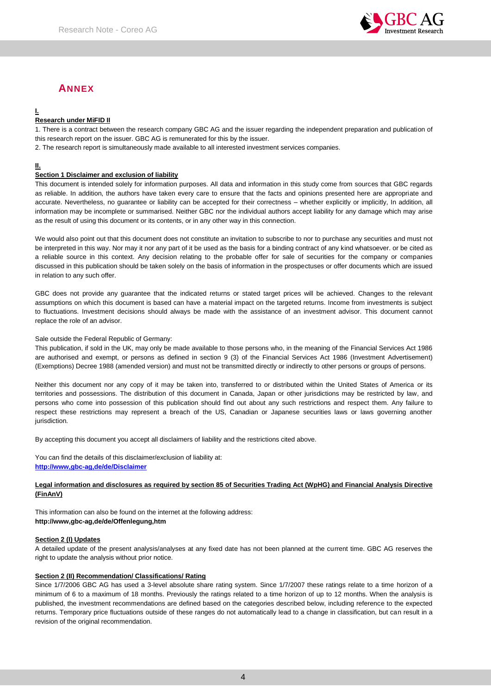

# **ANNEX**

## **I.**

## **Research under MiFID II**

1. There is a contract between the research company GBC AG and the issuer regarding the independent preparation and publication of this research report on the issuer. GBC AG is remunerated for this by the issuer.

2. The research report is simultaneously made available to all interested investment services companies.

## **II.**

## **Section 1 Disclaimer and exclusion of liability**

This document is intended solely for information purposes. All data and information in this study come from sources that GBC regards as reliable. In addition, the authors have taken every care to ensure that the facts and opinions presented here are appropriate and accurate. Nevertheless, no guarantee or liability can be accepted for their correctness – whether explicitly or implicitly, In addition, all information may be incomplete or summarised. Neither GBC nor the individual authors accept liability for any damage which may arise as the result of using this document or its contents, or in any other way in this connection.

We would also point out that this document does not constitute an invitation to subscribe to nor to purchase any securities and must not be interpreted in this way. Nor may it nor any part of it be used as the basis for a binding contract of any kind whatsoever. or be cited as a reliable source in this context. Any decision relating to the probable offer for sale of securities for the company or companies discussed in this publication should be taken solely on the basis of information in the prospectuses or offer documents which are issued in relation to any such offer.

GBC does not provide any guarantee that the indicated returns or stated target prices will be achieved. Changes to the relevant assumptions on which this document is based can have a material impact on the targeted returns. Income from investments is subject to fluctuations. Investment decisions should always be made with the assistance of an investment advisor. This document cannot replace the role of an advisor.

## Sale outside the Federal Republic of Germany:

This publication, if sold in the UK, may only be made available to those persons who, in the meaning of the Financial Services Act 1986 are authorised and exempt, or persons as defined in section 9 (3) of the Financial Services Act 1986 (Investment Advertisement) (Exemptions) Decree 1988 (amended version) and must not be transmitted directly or indirectly to other persons or groups of persons.

Neither this document nor any copy of it may be taken into, transferred to or distributed within the United States of America or its territories and possessions. The distribution of this document in Canada, Japan or other jurisdictions may be restricted by law, and persons who come into possession of this publication should find out about any such restrictions and respect them. Any failure to respect these restrictions may represent a breach of the US, Canadian or Japanese securities laws or laws governing another jurisdiction.

By accepting this document you accept all disclaimers of liability and the restrictions cited above.

You can find the details of this disclaimer/exclusion of liability at: **[http://www,gbc-ag,de/de/Disclaimer](http://www.gbc-ag.de/de/Disclaimer.htm)**

## **Legal information and disclosures as required by section 85 of Securities Trading Act (WpHG) and Financial Analysis Directive (FinAnV)**

This information can also be found on the internet at the following address: **http://www,gbc-ag,de/de/Offenlegung,htm**

## **Section 2 (I) Updates**

A detailed update of the present analysis/analyses at any fixed date has not been planned at the current time. GBC AG reserves the right to update the analysis without prior notice.

## **Section 2 (II) Recommendation/ Classifications/ Rating**

Since 1/7/2006 GBC AG has used a 3-level absolute share rating system. Since 1/7/2007 these ratings relate to a time horizon of a minimum of 6 to a maximum of 18 months. Previously the ratings related to a time horizon of up to 12 months. When the analysis is published, the investment recommendations are defined based on the categories described below, including reference to the expected returns. Temporary price fluctuations outside of these ranges do not automatically lead to a change in classification, but can result in a revision of the original recommendation.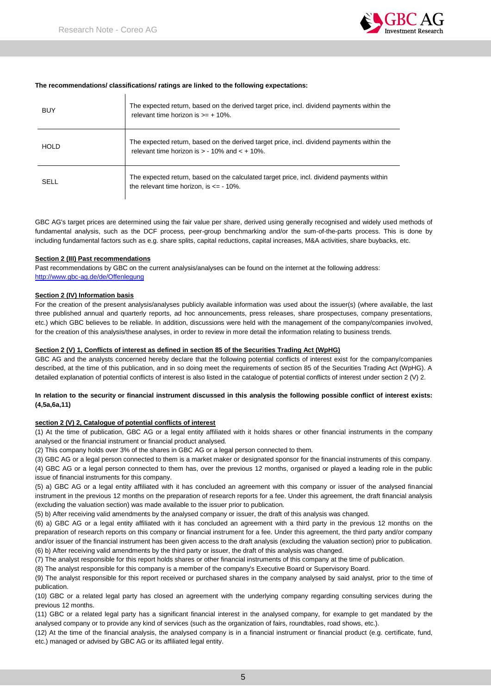

### **The recommendations/ classifications/ ratings are linked to the following expectations:**

| BUY         | The expected return, based on the derived target price, incl. dividend payments within the<br>relevant time horizon is $\geq 10\%$ .             |
|-------------|--------------------------------------------------------------------------------------------------------------------------------------------------|
| <b>HOLD</b> | The expected return, based on the derived target price, incl. dividend payments within the<br>relevant time horizon is $> -10\%$ and $< +10\%$ . |
| SELL        | The expected return, based on the calculated target price, incl. dividend payments within<br>the relevant time horizon, is $\leq$ - 10%.         |

GBC AG's target prices are determined using the fair value per share, derived using generally recognised and widely used methods of fundamental analysis, such as the DCF process, peer-group benchmarking and/or the sum-of-the-parts process. This is done by including fundamental factors such as e.g. share splits, capital reductions, capital increases, M&A activities, share buybacks, etc.

#### **Section 2 (III) Past recommendations**

Past recommendations by GBC on the current analysis/analyses can be found on the internet at the following address: [http://www.gbc-ag.de/de/Offenlegung](http://www.gbc-ag.de/de/Offenlegung.htm)

### **Section 2 (IV) Information basis**

For the creation of the present analysis/analyses publicly available information was used about the issuer(s) (where available, the last three published annual and quarterly reports, ad hoc announcements, press releases, share prospectuses, company presentations, etc.) which GBC believes to be reliable. In addition, discussions were held with the management of the company/companies involved, for the creation of this analysis/these analyses, in order to review in more detail the information relating to business trends.

## **Section 2 (V) 1, Conflicts of interest as defined in section 85 of the Securities Trading Act (WpHG)**

GBC AG and the analysts concerned hereby declare that the following potential conflicts of interest exist for the company/companies described, at the time of this publication, and in so doing meet the requirements of section 85 of the Securities Trading Act (WpHG). A detailed explanation of potential conflicts of interest is also listed in the catalogue of potential conflicts of interest under section 2 (V) 2.

### **In relation to the security or financial instrument discussed in this analysis the following possible conflict of interest exists: (4,5a,6a,11)**

#### **section 2 (V) 2, Catalogue of potential conflicts of interest**

(1) At the time of publication, GBC AG or a legal entity affiliated with it holds shares or other financial instruments in the company analysed or the financial instrument or financial product analysed.

(2) This company holds over 3% of the shares in GBC AG or a legal person connected to them.

(3) GBC AG or a legal person connected to them is a market maker or designated sponsor for the financial instruments of this company.

(4) GBC AG or a legal person connected to them has, over the previous 12 months, organised or played a leading role in the public issue of financial instruments for this company.

(5) a) GBC AG or a legal entity affiliated with it has concluded an agreement with this company or issuer of the analysed financial instrument in the previous 12 months on the preparation of research reports for a fee. Under this agreement, the draft financial analysis (excluding the valuation section) was made available to the issuer prior to publication.

(5) b) After receiving valid amendments by the analysed company or issuer, the draft of this analysis was changed.

(6) a) GBC AG or a legal entity affiliated with it has concluded an agreement with a third party in the previous 12 months on the preparation of research reports on this company or financial instrument for a fee. Under this agreement, the third party and/or company and/or issuer of the financial instrument has been given access to the draft analysis (excluding the valuation section) prior to publication. (6) b) After receiving valid amendments by the third party or issuer, the draft of this analysis was changed.

(7) The analyst responsible for this report holds shares or other financial instruments of this company at the time of publication.

(8) The analyst responsible for this company is a member of the company's Executive Board or Supervisory Board.

(9) The analyst responsible for this report received or purchased shares in the company analysed by said analyst, prior to the time of publication.

(10) GBC or a related legal party has closed an agreement with the underlying company regarding consulting services during the previous 12 months.

(11) GBC or a related legal party has a significant financial interest in the analysed company, for example to get mandated by the analysed company or to provide any kind of services (such as the organization of fairs, roundtables, road shows, etc.).

(12) At the time of the financial analysis, the analysed company is in a financial instrument or financial product (e.g. certificate, fund, etc.) managed or advised by GBC AG or its affiliated legal entity.